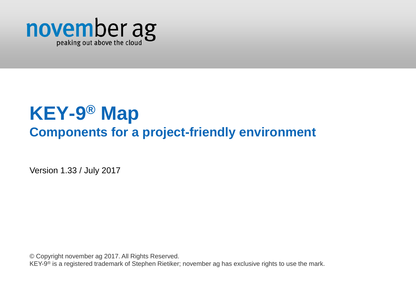

# **KEY-9 ® Map Components for a project-friendly environment**

Version 1.33 / July 2017

© Copyright november ag 2017. All Rights Reserved.

KEY-9<sup>®</sup> is a registered trademark of Stephen Rietiker; november ag has exclusive rights to use the mark.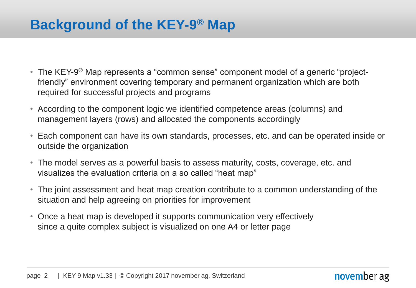### **Background of the KEY-9 ® Map**

- The KEY-9<sup>®</sup> Map represents a "common sense" component model of a generic "projectfriendly" environment covering temporary and permanent organization which are both required for successful projects and programs
- According to the component logic we identified competence areas (columns) and management layers (rows) and allocated the components accordingly
- Each component can have its own standards, processes, etc. and can be operated inside or outside the organization
- The model serves as a powerful basis to assess maturity, costs, coverage, etc. and visualizes the evaluation criteria on a so called "heat map"
- The joint assessment and heat map creation contribute to a common understanding of the situation and help agreeing on priorities for improvement
- Once a heat map is developed it supports communication very effectively since a quite complex subject is visualized on one A4 or letter page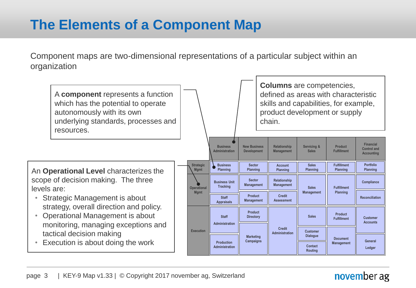## **The Elements of a Component Map**

Component maps are two-dimensional representations of a particular subject within an organization

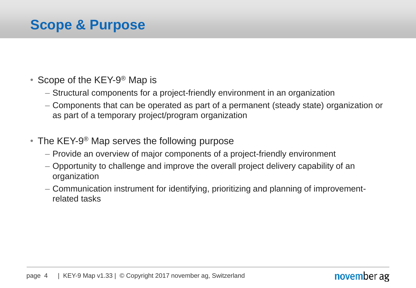### **Scope & Purpose**

- Scope of the KEY-9<sup>®</sup> Map is
	- Structural components for a project-friendly environment in an organization
	- Components that can be operated as part of a permanent (steady state) organization or as part of a temporary project/program organization
- The KEY-9<sup>®</sup> Map serves the following purpose
	- Provide an overview of major components of a project-friendly environment
	- Opportunity to challenge and improve the overall project delivery capability of an organization
	- Communication instrument for identifying, prioritizing and planning of improvementrelated tasks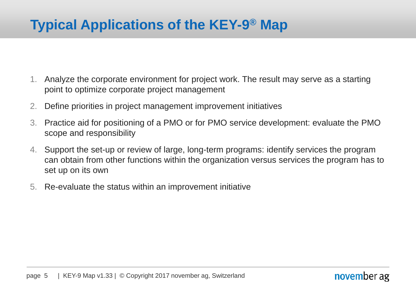### **Typical Applications of the KEY-9 ® Map**

- 1. Analyze the corporate environment for project work. The result may serve as a starting point to optimize corporate project management
- 2. Define priorities in project management improvement initiatives
- 3. Practice aid for positioning of a PMO or for PMO service development: evaluate the PMO scope and responsibility
- 4. Support the set-up or review of large, long-term programs: identify services the program can obtain from other functions within the organization versus services the program has to set up on its own
- 5. Re-evaluate the status within an improvement initiative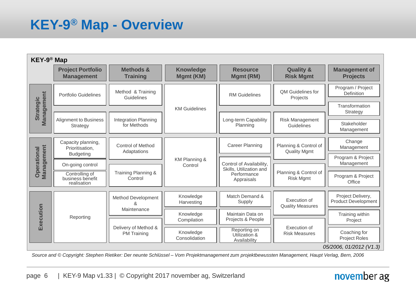### **KEY-9 ® Map - Overview**

| KEY-9 <sup>®</sup> Map           |                                                           |                                            |                                                    |                                                                                  |                                              |                                                 |
|----------------------------------|-----------------------------------------------------------|--------------------------------------------|----------------------------------------------------|----------------------------------------------------------------------------------|----------------------------------------------|-------------------------------------------------|
|                                  | <b>Project Portfolio</b><br><b>Management</b>             | <b>Methods &amp;</b><br><b>Training</b>    | <b>Knowledge</b><br>Mgmt (KM)                      | <b>Resource</b><br>Mgmt (RM)                                                     | <b>Quality &amp;</b><br><b>Risk Mgmt</b>     | <b>Management of</b><br><b>Projects</b>         |
|                                  | Portfolio Guidelines                                      | Method & Training<br>Guidelines            |                                                    | <b>RM Guidelines</b>                                                             | <b>QM Guidelines for</b><br>Projects         | Program / Project<br>Definition                 |
| <b>Strategic</b>                 |                                                           |                                            | <b>KM Guidelines</b>                               |                                                                                  |                                              | Transformation<br>Strategy                      |
| Management                       | Alignment to Business<br>Strategy                         | <b>Integration Planning</b><br>for Methods |                                                    | Long-term Capability<br>Planning                                                 | <b>Risk Management</b><br>Guidelines         | Stakeholder<br>Management                       |
|                                  | Capacity planning,<br>Prioritisation,<br><b>Budgeting</b> | Control of Method<br>Adaptations           |                                                    | <b>Career Planning</b>                                                           | Planning & Control of<br><b>Quality Mgmt</b> | Change<br>Management<br>Program & Project       |
|                                  | On-going control                                          |                                            | KM Planning &<br>Control                           | Control of Availability,<br>Skills, Utilization and<br>Performance<br>Appraisals | Planning & Control of<br><b>Risk Mgmt</b>    | Management                                      |
| Management<br><b>Operational</b> | Controlling of<br>business benefit<br>realisation         | Training Planning &<br>Control             |                                                    |                                                                                  |                                              | Program & Project<br>Office                     |
| Execution                        | Reporting                                                 | Method Development<br>ጼ<br>Maintenance     | Knowledge<br>Harvesting                            | Match Demand &<br>Supply                                                         | Execution of<br><b>Quality Measures</b>      | Project Delivery,<br><b>Product Development</b> |
|                                  |                                                           |                                            | Maintain Data on<br>Knowledge<br>Projects & People |                                                                                  | Training within                              |                                                 |
|                                  |                                                           | Delivery of Method &<br><b>PM Training</b> | Compilation                                        |                                                                                  | Execution of<br><b>Risk Measures</b>         | Project                                         |
|                                  |                                                           |                                            | Knowledge<br>Consolidation                         | Reporting on<br>Utilization &<br>Availability                                    |                                              | Coaching for<br><b>Project Roles</b>            |
|                                  |                                                           |                                            |                                                    |                                                                                  |                                              | 05/2006, 01/2012 (V1.3)                         |

*Source and © Copyright: Stephen Rietiker: Der neunte Schlüssel – Vom Projektmanagement zum projektbewussten Management, Haupt Verlag, Bern, 2006*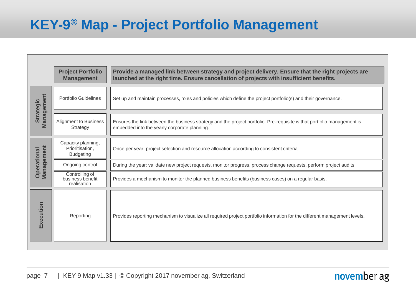### **KEY-9 ® Map - Project Portfolio Management**

|                                  | <b>Project Portfolio</b><br><b>Management</b>             | Provide a managed link between strategy and project delivery. Ensure that the right projects are<br>launched at the right time. Ensure cancellation of projects with insufficient benefits. |
|----------------------------------|-----------------------------------------------------------|---------------------------------------------------------------------------------------------------------------------------------------------------------------------------------------------|
| Management<br><b>Strategic</b>   | Portfolio Guidelines                                      | Set up and maintain processes, roles and policies which define the project portfolio(s) and their governance.                                                                               |
|                                  | Alignment to Business<br>Strategy                         | Ensures the link between the business strategy and the project portfolio. Pre-requisite is that portfolio management is<br>embedded into the yearly corporate planning.                     |
| Management<br><b>Operational</b> | Capacity planning,<br>Prioritisation,<br><b>Budgeting</b> | Once per year: project selection and resource allocation according to consistent criteria.                                                                                                  |
|                                  | Ongoing control                                           | During the year: validate new project requests, monitor progress, process change requests, perform project audits.                                                                          |
|                                  | Controlling of<br>business benefit<br>realisation         | Provides a mechanism to monitor the planned business benefits (business cases) on a regular basis.                                                                                          |
| Execution                        | Reporting                                                 | Provides reporting mechanism to visualize all required project portfolio information for the different management levels.                                                                   |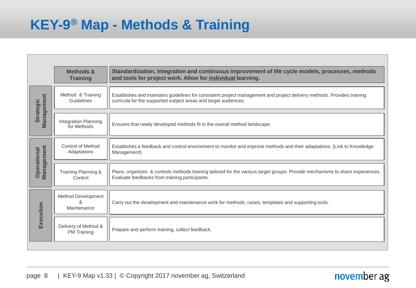### **KEY-9 ® Map - Methods & Training**

| <b>Methods &amp;</b>                       | Standardization, integration and continuous improvement of life cycle models, processes, methods                              |
|--------------------------------------------|-------------------------------------------------------------------------------------------------------------------------------|
| <b>Training</b>                            | and tools for project work. Allow for individual learning.                                                                    |
| Method & Training                          | Establishes and maintains guidelines for consistent project management and project delivery methods. Provides training        |
| Guidelines                                 | curricula for the supported subject areas and target audiences.                                                               |
| <b>Integration Planning</b><br>for Methods | Ensures that newly developed methods fit in the overall method landscape.                                                     |
| <b>Control of Method</b>                   | Establishes a feedback and control environment to monitor and improve methods and their adaptations. (Link to Knowledge       |
| Adaptations                                | Management)                                                                                                                   |
| Training Planning &                        | Plans, organizes & controls methods training tailored for the various target groups. Provide mechanisms to share experiences. |
| Control                                    | Evaluate feedbacks from training participants.                                                                                |
| Method Development<br>&<br>Maintenance     | Carry out the development and maintenance work for methods, cases, templates and supporting tools.                            |
| Delivery of Method &<br><b>PM Training</b> | Prepare and perform training, collect feedback.                                                                               |
|                                            |                                                                                                                               |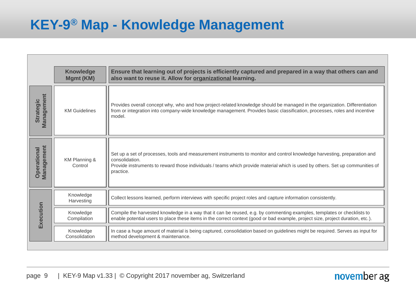### **KEY-9 ® Map - Knowledge Management**

| also want to reuse it. Allow for organizational learning.                                                                                                                                                                                                                                 |
|-------------------------------------------------------------------------------------------------------------------------------------------------------------------------------------------------------------------------------------------------------------------------------------------|
| Provides overall concept why, who and how project-related knowledge should be managed in the organization. Differentiation<br>from or integration into company-wide knowledge management. Provides basic classification, processes, roles and incentive<br>model.                         |
| Set up a set of processes, tools and measurement instruments to monitor and control knowledge harvesting, preparation and<br>consolidation.<br>Provide instruments to reward those individuals / teams which provide material which is used by others. Set up communities of<br>practice. |
| Collect lessons learned, perform interviews with specific project roles and capture information consistently.                                                                                                                                                                             |
| Compile the harvested knowledge in a way that it can be reused, e.g. by commenting examples, templates or checklists to<br>enable potential users to place these items in the correct context (good or bad example, project size, project duration, etc.).                                |
| In case a huge amount of material is being captured, consolidation based on guidelines might be required. Serves as input for<br>method development & maintenance.                                                                                                                        |
|                                                                                                                                                                                                                                                                                           |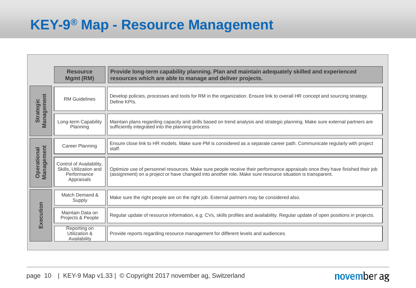### **KEY-9 ® Map - Resource Management**

| Develop policies, processes and tools for RM in the organization. Ensure link to overall HR concept and sourcing strategy.<br>Define KPIs.                                                                                                |
|-------------------------------------------------------------------------------------------------------------------------------------------------------------------------------------------------------------------------------------------|
|                                                                                                                                                                                                                                           |
| Maintain plans regarding capacity and skills based on trend analysis and strategic planning. Make sure external partners are<br>sufficiently integrated into the planning process                                                         |
| Ensure close link to HR models. Make sure PM is considered as a separate career path. Communicate regularly with project<br>staff.                                                                                                        |
| Optimize use of personnel resources. Make sure people receive their performance appraisals once they have finished their job<br>(assignment) on a project or have changed into another role. Make sure resource situation is transparent. |
| Make sure the right people are on the right job. External partners may be considered also.                                                                                                                                                |
| Regular update of resource information, e.g. CVs, skills profiles and availability. Regular update of open positions in projects.                                                                                                         |
| Provide reports regarding resource management for different levels and audiences.                                                                                                                                                         |
|                                                                                                                                                                                                                                           |
|                                                                                                                                                                                                                                           |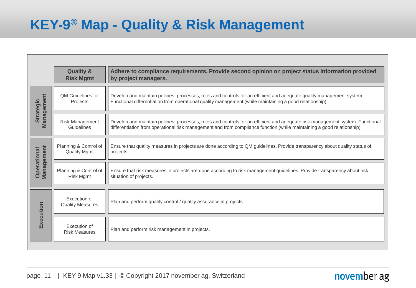### **KEY-9 ® Map - Quality & Risk Management**

|                                  | <b>Quality &amp;</b><br><b>Risk Mgmt</b>     | Adhere to compliance requirements. Provide second opinion on project status information provided<br>by project managers.                                                                                                                                |
|----------------------------------|----------------------------------------------|---------------------------------------------------------------------------------------------------------------------------------------------------------------------------------------------------------------------------------------------------------|
| Management<br><b>Strategic</b>   | <b>QM Guidelines for</b><br>Projects         | Develop and maintain policies, processes, roles and controls for an efficient and adequate quality management system.<br>Functional differentiation from operational quality management (while maintaining a good relationship).                        |
|                                  | Risk Management<br>Guidelines                | Develop and maintain policies, processes, roles and controls for an efficient and adequate risk management system. Functional<br>differentiation from operational risk management and from compliance function (while maintaining a good relationship). |
| Management<br><b>Operational</b> | Planning & Control of<br><b>Quality Mgmt</b> | Ensure that quality measures in projects are done according to QM guidelines. Provide transparency about quality status of<br>projects.                                                                                                                 |
|                                  | Planning & Control of<br><b>Risk Mgmt</b>    | Ensure that risk measures in projects are done according to risk management guidelines. Provide transparency about risk<br>situation of projects.                                                                                                       |
|                                  | Execution of<br><b>Quality Measures</b>      | Plan and perform quality control / quality assurance in projects.                                                                                                                                                                                       |
| Execution                        | Execution of<br><b>Risk Measures</b>         | Plan and perform risk management in projects.                                                                                                                                                                                                           |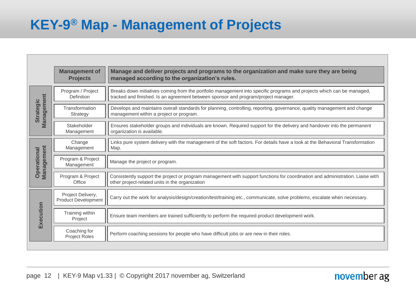### **KEY-9 ® Map - Management of Projects**

|                                  | <b>Management of</b><br><b>Projects</b>  | Manage and deliver projects and programs to the organization and make sure they are being<br>managed according to the organization's rules.                                                                  |
|----------------------------------|------------------------------------------|--------------------------------------------------------------------------------------------------------------------------------------------------------------------------------------------------------------|
| Management<br><b>Strategic</b>   | Program / Project<br>Definition          | Breaks down initiatives coming from the portfolio management into specific programs and projects which can be managed,<br>tracked and finished. Is an agreement between sponsor and program/project manager. |
|                                  | Transformation<br>Strategy               | Develops and maintains overall standards for planning, controlling, reporting, governance, quality management and change<br>management within a project or program.                                          |
|                                  | Stakeholder<br>Management                | Ensures stakeholder groups and individuals are known. Required support for the delivery and handover into the permanent<br>organization is available.                                                        |
|                                  | Change<br>Management                     | Links pure system delivery with the management of the soft factors. For details have a look at the Behavioral Transformation<br>Map.                                                                         |
| Management<br><b>Operational</b> | Program & Project<br>Management          | Manage the project or program.                                                                                                                                                                               |
|                                  | Program & Project<br>Office              | Consistently support the project or program management with support functions for coordination and administration. Liaise with<br>other project-related units in the organization                            |
| Execution                        | Project Delivery,<br>Product Development | Carry out the work for analysis/design/creation/test/training etc., communicate, solve problems, escalate when necessary.                                                                                    |
|                                  | Training within<br>Project               | Ensure team members are trained sufficiently to perform the required product development work.                                                                                                               |
|                                  | Coaching for<br>Project Roles            | Perform coaching sessions for people who have difficult jobs or are new in their roles.                                                                                                                      |
|                                  |                                          |                                                                                                                                                                                                              |
|                                  |                                          |                                                                                                                                                                                                              |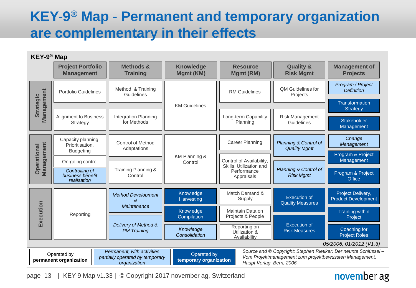### **KEY-9 ® Map - Permanent and temporary organization are complementary in their effects**



#### page 13 | KEY-9 Map v1.33 | © Copyright 2017 november ag, Switzerland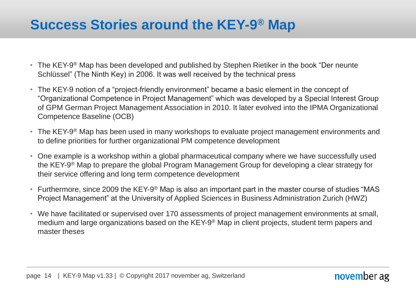### **Success Stories around the KEY-9 ® Map**

- The KEY-9<sup>®</sup> Map has been developed and published by Stephen Rietiker in the book "Der neunte Schlüssel" (The Ninth Key) in 2006. It was well received by the technical press
- The KEY-9 notion of a "project-friendly environment" became a basic element in the concept of "Organizational Competence in Project Management" which was developed by a Special Interest Group of GPM German Project Management Association in 2010. It later evolved into the IPMA Organizational Competence Baseline (OCB)
- The KEY-9<sup>®</sup> Map has been used in many workshops to evaluate project management environments and to define priorities for further organizational PM competence development
- One example is a workshop within a global pharmaceutical company where we have successfully used the KEY-9 ® Map to prepare the global Program Management Group for developing a clear strategy for their service offering and long term competence development
- Furthermore, since 2009 the KEY-9<sup>®</sup> Map is also an important part in the master course of studies "MAS Project Management" at the University of Applied Sciences in Business Administration Zurich (HWZ)
- We have facilitated or supervised over 170 assessments of project management environments at small, medium and large organizations based on the KEY-9<sup>®</sup> Map in client projects, student term papers and master theses